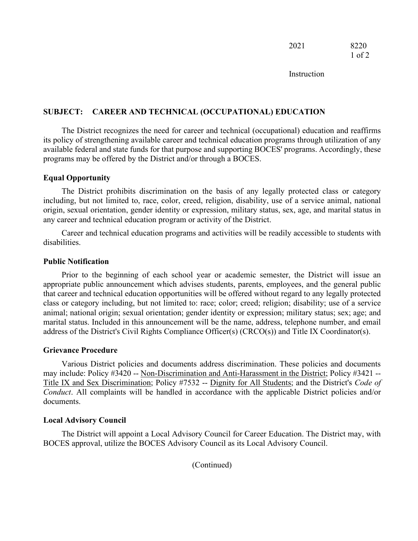**Instruction** 

# **SUBJECT: CAREER AND TECHNICAL (OCCUPATIONAL) EDUCATION**

The District recognizes the need for career and technical (occupational) education and reaffirms its policy of strengthening available career and technical education programs through utilization of any available federal and state funds for that purpose and supporting BOCES' programs. Accordingly, these programs may be offered by the District and/or through a BOCES.

### **Equal Opportunity**

The District prohibits discrimination on the basis of any legally protected class or category including, but not limited to, race, color, creed, religion, disability, use of a service animal, national origin, sexual orientation, gender identity or expression, military status, sex, age, and marital status in any career and technical education program or activity of the District.

Career and technical education programs and activities will be readily accessible to students with disabilities.

#### **Public Notification**

Prior to the beginning of each school year or academic semester, the District will issue an appropriate public announcement which advises students, parents, employees, and the general public that career and technical education opportunities will be offered without regard to any legally protected class or category including, but not limited to: race; color; creed; religion; disability; use of a service animal; national origin; sexual orientation; gender identity or expression; military status; sex; age; and marital status. Included in this announcement will be the name, address, telephone number, and email address of the District's Civil Rights Compliance Officer(s) (CRCO(s)) and Title IX Coordinator(s).

#### **Grievance Procedure**

Various District policies and documents address discrimination. These policies and documents may include: Policy #3420 -- Non-Discrimination and Anti-Harassment in the District; Policy #3421 -- Title IX and Sex Discrimination; Policy #7532 -- Dignity for All Students; and the District's *Code of Conduct*. All complaints will be handled in accordance with the applicable District policies and/or documents.

# **Local Advisory Council**

The District will appoint a Local Advisory Council for Career Education. The District may, with BOCES approval, utilize the BOCES Advisory Council as its Local Advisory Council.

(Continued)